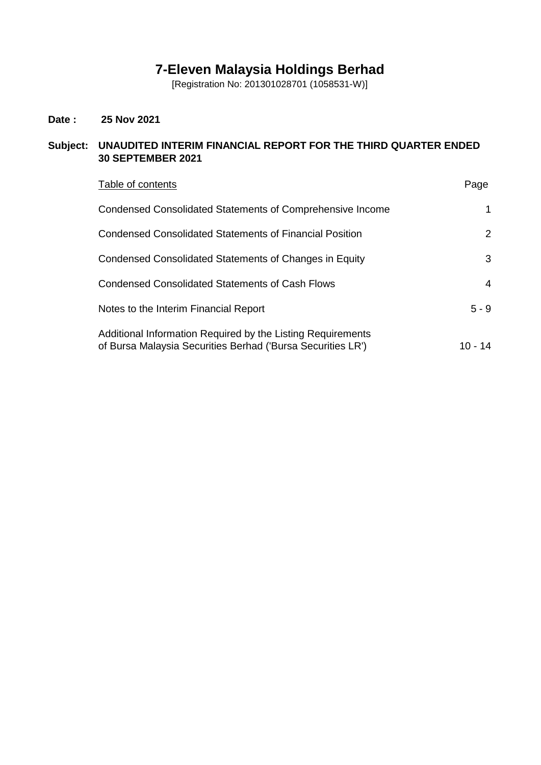# **7-Eleven Malaysia Holdings Berhad**

[Registration No: 201301028701 (1058531-W)]

# **Date : 25 Nov 2021**

# **Subject: UNAUDITED INTERIM FINANCIAL REPORT FOR THE THIRD QUARTER ENDED 30 SEPTEMBER 2021**

| Table of contents                                                                                                          | Page                  |
|----------------------------------------------------------------------------------------------------------------------------|-----------------------|
| Condensed Consolidated Statements of Comprehensive Income                                                                  | 1                     |
| <b>Condensed Consolidated Statements of Financial Position</b>                                                             | $\mathbf{2}^{\prime}$ |
| Condensed Consolidated Statements of Changes in Equity                                                                     | 3                     |
| Condensed Consolidated Statements of Cash Flows                                                                            | 4                     |
| Notes to the Interim Financial Report                                                                                      | $5 - 9$               |
| Additional Information Required by the Listing Requirements<br>of Bursa Malaysia Securities Berhad ('Bursa Securities LR') | 10 - 14               |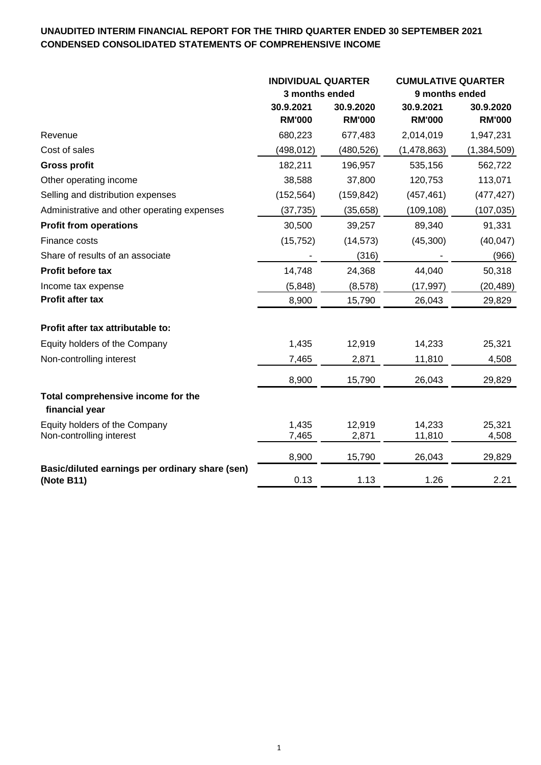# **UNAUDITED INTERIM FINANCIAL REPORT FOR THE THIRD QUARTER ENDED 30 SEPTEMBER 2021 CONDENSED CONSOLIDATED STATEMENTS OF COMPREHENSIVE INCOME**

|                                                               | <b>INDIVIDUAL QUARTER</b><br>3 months ended |               | <b>CUMULATIVE QUARTER</b> |               |  |
|---------------------------------------------------------------|---------------------------------------------|---------------|---------------------------|---------------|--|
|                                                               |                                             |               | 9 months ended            |               |  |
|                                                               | 30.9.2021                                   | 30.9.2020     | 30.9.2021                 | 30.9.2020     |  |
|                                                               | <b>RM'000</b>                               | <b>RM'000</b> | <b>RM'000</b>             | <b>RM'000</b> |  |
| Revenue                                                       | 680,223                                     | 677,483       | 2,014,019                 | 1,947,231     |  |
| Cost of sales                                                 | (498,012)                                   | (480,526)     | (1,478,863)               | (1,384,509)   |  |
| <b>Gross profit</b>                                           | 182,211                                     | 196,957       | 535,156                   | 562,722       |  |
| Other operating income                                        | 38,588                                      | 37,800        | 120,753                   | 113,071       |  |
| Selling and distribution expenses                             | (152, 564)                                  | (159, 842)    | (457, 461)                | (477, 427)    |  |
| Administrative and other operating expenses                   | (37, 735)                                   | (35, 658)     | (109, 108)                | (107, 035)    |  |
| <b>Profit from operations</b>                                 | 30,500                                      | 39,257        | 89,340                    | 91,331        |  |
| Finance costs                                                 | (15, 752)                                   | (14, 573)     | (45,300)                  | (40, 047)     |  |
| Share of results of an associate                              |                                             | (316)         |                           | (966)         |  |
| <b>Profit before tax</b>                                      | 14,748                                      | 24,368        | 44,040                    | 50,318        |  |
| Income tax expense                                            | (5,848)                                     | (8,578)       | (17, 997)                 | (20,489)      |  |
| Profit after tax                                              | 8,900                                       | 15,790        | 26,043                    | 29,829        |  |
| Profit after tax attributable to:                             |                                             |               |                           |               |  |
| Equity holders of the Company                                 | 1,435                                       | 12,919        | 14,233                    | 25,321        |  |
| Non-controlling interest                                      | 7,465                                       | 2,871         | 11,810                    | 4,508         |  |
|                                                               | 8,900                                       | 15,790        | 26,043                    | 29,829        |  |
| Total comprehensive income for the<br>financial year          |                                             |               |                           |               |  |
| Equity holders of the Company                                 | 1,435                                       | 12,919        | 14,233                    | 25,321        |  |
| Non-controlling interest                                      | 7,465                                       | 2,871         | 11,810                    | 4,508         |  |
|                                                               | 8,900                                       | 15,790        | 26,043                    | 29,829        |  |
| Basic/diluted earnings per ordinary share (sen)<br>(Note B11) | 0.13                                        | 1.13          | 1.26                      | 2.21          |  |
|                                                               |                                             |               |                           |               |  |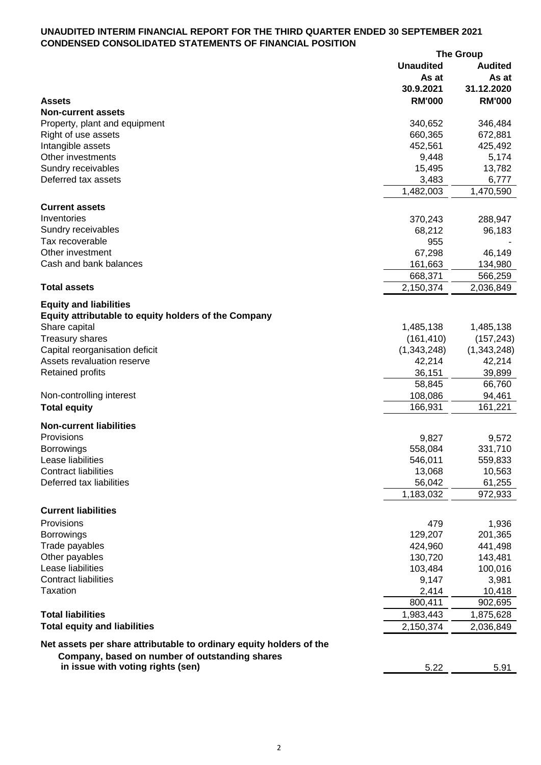### **UNAUDITED INTERIM FINANCIAL REPORT FOR THE THIRD QUARTER ENDED 30 SEPTEMBER 2021 CONDENSED CONSOLIDATED STATEMENTS OF FINANCIAL POSITION**

|                                                                     |                  | <b>The Group</b> |
|---------------------------------------------------------------------|------------------|------------------|
|                                                                     | <b>Unaudited</b> | <b>Audited</b>   |
|                                                                     | As at            | As at            |
|                                                                     | 30.9.2021        | 31.12.2020       |
| <b>Assets</b>                                                       | <b>RM'000</b>    | <b>RM'000</b>    |
| <b>Non-current assets</b>                                           |                  |                  |
| Property, plant and equipment                                       | 340,652          | 346,484          |
|                                                                     | 660,365          | 672,881          |
| Right of use assets                                                 |                  |                  |
| Intangible assets                                                   | 452,561          | 425,492          |
| Other investments                                                   | 9,448            | 5,174            |
| Sundry receivables                                                  | 15,495           | 13,782           |
| Deferred tax assets                                                 | 3,483            | 6,777            |
|                                                                     | 1,482,003        | 1,470,590        |
| <b>Current assets</b>                                               |                  |                  |
| Inventories                                                         | 370,243          | 288,947          |
| Sundry receivables                                                  | 68,212           | 96,183           |
| Tax recoverable                                                     | 955              |                  |
| Other investment                                                    |                  |                  |
|                                                                     | 67,298           | 46,149           |
| Cash and bank balances                                              | 161,663          | 134,980          |
|                                                                     | 668,371          | 566,259          |
| <b>Total assets</b>                                                 | 2,150,374        | 2,036,849        |
| <b>Equity and liabilities</b>                                       |                  |                  |
| Equity attributable to equity holders of the Company                |                  |                  |
|                                                                     |                  |                  |
| Share capital                                                       | 1,485,138        | 1,485,138        |
| <b>Treasury shares</b>                                              | (161, 410)       | (157, 243)       |
| Capital reorganisation deficit                                      | (1,343,248)      | (1,343,248)      |
| Assets revaluation reserve                                          | 42,214           | 42,214           |
| <b>Retained profits</b>                                             | 36,151           | 39,899           |
|                                                                     | 58,845           | 66,760           |
| Non-controlling interest                                            | 108,086          | 94,461           |
| <b>Total equity</b>                                                 | 166,931          | 161,221          |
|                                                                     |                  |                  |
| <b>Non-current liabilities</b>                                      |                  |                  |
| Provisions                                                          | 9,827            | 9,572            |
| <b>Borrowings</b>                                                   | 558,084          | 331,710          |
| Lease liabilities                                                   | 546,011          | 559,833          |
| <b>Contract liabilities</b>                                         | 13,068           | 10,563           |
| Deferred tax liabilities                                            | 56,042           | 61,255           |
|                                                                     | 1,183,032        | 972,933          |
|                                                                     |                  |                  |
| <b>Current liabilities</b>                                          |                  |                  |
| Provisions                                                          | 479              | 1,936            |
| <b>Borrowings</b>                                                   | 129,207          | 201,365          |
| Trade payables                                                      | 424,960          | 441,498          |
| Other payables                                                      | 130,720          | 143,481          |
| Lease liabilities                                                   | 103,484          | 100,016          |
| <b>Contract liabilities</b>                                         | 9,147            | 3,981            |
| <b>Taxation</b>                                                     | 2,414            | 10,418           |
|                                                                     | 800,411          | 902,695          |
| <b>Total liabilities</b>                                            | 1,983,443        | 1,875,628        |
|                                                                     |                  |                  |
| <b>Total equity and liabilities</b>                                 | 2,150,374        | 2,036,849        |
| Net assets per share attributable to ordinary equity holders of the |                  |                  |
| Company, based on number of outstanding shares                      |                  |                  |
| in issue with voting rights (sen)                                   | 5.22             | 5.91             |
|                                                                     |                  |                  |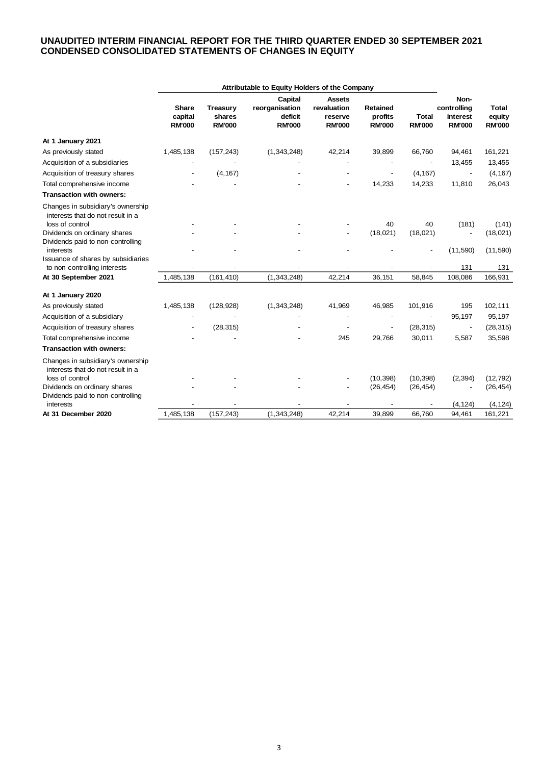### **UNAUDITED INTERIM FINANCIAL REPORT FOR THE THIRD QUARTER ENDED 30 SEPTEMBER 2021 CONDENSED CONSOLIDATED STATEMENTS OF CHANGES IN EQUITY**

|                                                                                           | Attributable to Equity Holders of the Company |                         |                           |                              |                          |                               |                           |                         |
|-------------------------------------------------------------------------------------------|-----------------------------------------------|-------------------------|---------------------------|------------------------------|--------------------------|-------------------------------|---------------------------|-------------------------|
|                                                                                           | <b>Share</b>                                  | <b>Treasury</b>         | Capital<br>reorganisation | <b>Assets</b><br>revaluation | <b>Retained</b>          |                               | Non-<br>controlling       | <b>Total</b>            |
|                                                                                           | capital<br><b>RM'000</b>                      | shares<br><b>RM'000</b> | deficit<br><b>RM'000</b>  | reserve<br><b>RM'000</b>     | profits<br><b>RM'000</b> | <b>Total</b><br><b>RM'000</b> | interest<br><b>RM'000</b> | equity<br><b>RM'000</b> |
| At 1 January 2021                                                                         |                                               |                         |                           |                              |                          |                               |                           |                         |
| As previously stated                                                                      | 1,485,138                                     | (157, 243)              | (1,343,248)               | 42,214                       | 39,899                   | 66,760                        | 94,461                    | 161,221                 |
| Acquisition of a subsidiaries                                                             |                                               |                         |                           |                              |                          |                               | 13,455                    | 13,455                  |
| Acquisition of treasury shares                                                            |                                               | (4, 167)                |                           |                              |                          | (4, 167)                      | $\overline{\phantom{a}}$  | (4, 167)                |
| Total comprehensive income                                                                |                                               |                         |                           | $\overline{a}$               | 14,233                   | 14,233                        | 11,810                    | 26,043                  |
| <b>Transaction with owners:</b>                                                           |                                               |                         |                           |                              |                          |                               |                           |                         |
| Changes in subsidiary's ownership<br>interests that do not result in a<br>loss of control |                                               |                         |                           |                              | 40                       | 40                            | (181)                     |                         |
| Dividends on ordinary shares                                                              |                                               |                         |                           |                              | (18,021)                 | (18,021)                      | $\overline{\phantom{0}}$  | (141)<br>(18,021)       |
| Dividends paid to non-controlling<br>interests                                            |                                               |                         |                           |                              |                          |                               | (11,590)                  | (11,590)                |
| Issuance of shares by subsidiaries                                                        |                                               |                         |                           |                              |                          |                               |                           |                         |
| to non-controlling interests                                                              | 1,485,138                                     |                         |                           | 42,214                       | 36,151                   | 58,845                        | 131<br>108,086            | 131<br>166,931          |
| At 30 September 2021                                                                      |                                               | (161, 410)              | (1, 343, 248)             |                              |                          |                               |                           |                         |
| At 1 January 2020                                                                         |                                               |                         |                           |                              |                          |                               |                           |                         |
| As previously stated                                                                      | 1,485,138                                     | (128, 928)              | (1,343,248)               | 41,969                       | 46,985                   | 101,916                       | 195                       | 102,111                 |
| Acquisition of a subsidiary                                                               |                                               |                         |                           |                              |                          |                               | 95,197                    | 95,197                  |
| Acquisition of treasury shares                                                            |                                               | (28, 315)               |                           |                              |                          | (28, 315)                     | $\overline{\phantom{a}}$  | (28, 315)               |
| Total comprehensive income                                                                |                                               |                         |                           | 245                          | 29,766                   | 30,011                        | 5,587                     | 35,598                  |
| <b>Transaction with owners:</b>                                                           |                                               |                         |                           |                              |                          |                               |                           |                         |
| Changes in subsidiary's ownership<br>interests that do not result in a<br>loss of control |                                               |                         |                           |                              | (10, 398)                | (10, 398)                     | (2, 394)                  | (12, 792)               |
| Dividends on ordinary shares                                                              |                                               |                         |                           |                              | (26, 454)                | (26, 454)                     |                           | (26, 454)               |
| Dividends paid to non-controlling                                                         |                                               |                         |                           |                              |                          |                               |                           |                         |
| interests                                                                                 |                                               |                         |                           |                              |                          |                               | (4, 124)                  | (4, 124)                |
| At 31 December 2020                                                                       | 1,485,138                                     | (157, 243)              | (1, 343, 248)             | 42,214                       | 39,899                   | 66,760                        | 94.461                    | 161,221                 |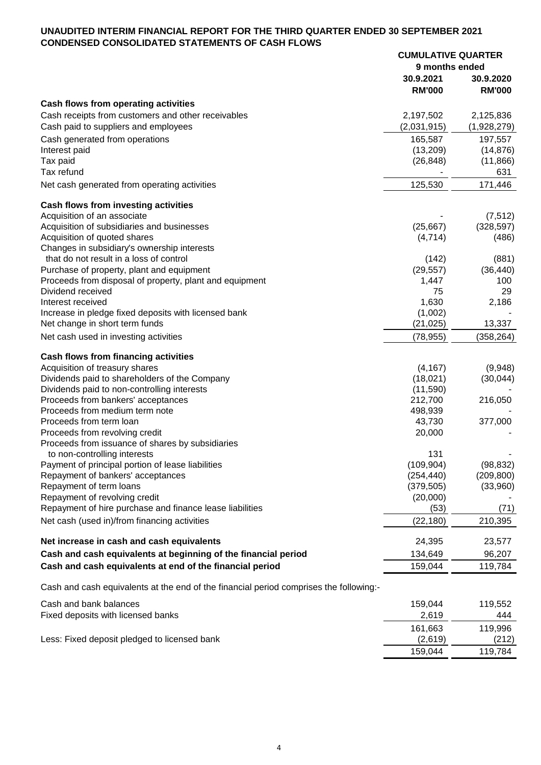#### **UNAUDITED INTERIM FINANCIAL REPORT FOR THE THIRD QUARTER ENDED 30 SEPTEMBER 2021 CONDENSED CONSOLIDATED STATEMENTS OF CASH FLOWS CUMULATIVE QUARTER**

|                                                                                            | <b>CUMULATIVE QUARTER</b><br>9 months ended |                          |
|--------------------------------------------------------------------------------------------|---------------------------------------------|--------------------------|
|                                                                                            | 30.9.2021                                   | 30.9.2020                |
|                                                                                            | <b>RM'000</b>                               | <b>RM'000</b>            |
| Cash flows from operating activities                                                       |                                             |                          |
| Cash receipts from customers and other receivables<br>Cash paid to suppliers and employees | 2,197,502<br>(2,031,915)                    | 2,125,836<br>(1,928,279) |
| Cash generated from operations                                                             | 165,587                                     | 197,557                  |
| Interest paid                                                                              | (13, 209)                                   | (14, 876)                |
| Tax paid<br>Tax refund                                                                     | (26, 848)                                   | (11, 866)<br>631         |
| Net cash generated from operating activities                                               | 125,530                                     | 171,446                  |
|                                                                                            |                                             |                          |
| Cash flows from investing activities                                                       |                                             |                          |
| Acquisition of an associate                                                                |                                             | (7, 512)                 |
| Acquisition of subsidiaries and businesses                                                 | (25, 667)                                   | (328, 597)               |
| Acquisition of quoted shares                                                               | (4,714)                                     | (486)                    |
| Changes in subsidiary's ownership interests<br>that do not result in a loss of control     | (142)                                       | (881)                    |
| Purchase of property, plant and equipment                                                  | (29, 557)                                   | (36, 440)                |
| Proceeds from disposal of property, plant and equipment                                    | 1,447                                       | 100                      |
| Dividend received                                                                          | 75                                          | 29                       |
| Interest received                                                                          | 1,630                                       | 2,186                    |
| Increase in pledge fixed deposits with licensed bank                                       | (1,002)                                     |                          |
| Net change in short term funds                                                             | (21, 025)                                   | 13,337                   |
| Net cash used in investing activities                                                      | (78, 955)                                   | (358, 264)               |
| Cash flows from financing activities                                                       |                                             |                          |
| Acquisition of treasury shares                                                             | (4, 167)                                    | (9,948)                  |
| Dividends paid to shareholders of the Company                                              | (18,021)                                    | (30,044)                 |
| Dividends paid to non-controlling interests                                                | (11,590)                                    |                          |
| Proceeds from bankers' acceptances                                                         | 212,700                                     | 216,050                  |
| Proceeds from medium term note                                                             | 498,939                                     |                          |
| Proceeds from term loan                                                                    | 43,730                                      | 377,000                  |
| Proceeds from revolving credit                                                             | 20,000                                      |                          |
| Proceeds from issuance of shares by subsidiaries                                           |                                             |                          |
| to non-controlling interests                                                               | 131                                         |                          |
| Payment of principal portion of lease liabilities<br>Repayment of bankers' acceptances     | (109, 904)                                  | (98, 832)                |
| Repayment of term loans                                                                    | (254, 440)<br>(379, 505)                    | (209, 800)<br>(33,960)   |
| Repayment of revolving credit                                                              | (20,000)                                    |                          |
| Repayment of hire purchase and finance lease liabilities                                   | (53)                                        | (71)                     |
| Net cash (used in)/from financing activities                                               | (22, 180)                                   | 210,395                  |
|                                                                                            |                                             |                          |
| Net increase in cash and cash equivalents                                                  | 24,395                                      | 23,577                   |
| Cash and cash equivalents at beginning of the financial period                             | 134,649                                     | 96,207                   |
| Cash and cash equivalents at end of the financial period                                   | 159,044                                     | 119,784                  |
| Cash and cash equivalents at the end of the financial period comprises the following:-     |                                             |                          |
| Cash and bank balances                                                                     | 159,044                                     | 119,552                  |
| Fixed deposits with licensed banks                                                         | 2,619                                       | 444                      |
|                                                                                            | 161,663                                     | 119,996                  |
| Less: Fixed deposit pledged to licensed bank                                               | (2,619)                                     | (212)                    |
|                                                                                            | 159,044                                     | 119,784                  |
|                                                                                            |                                             |                          |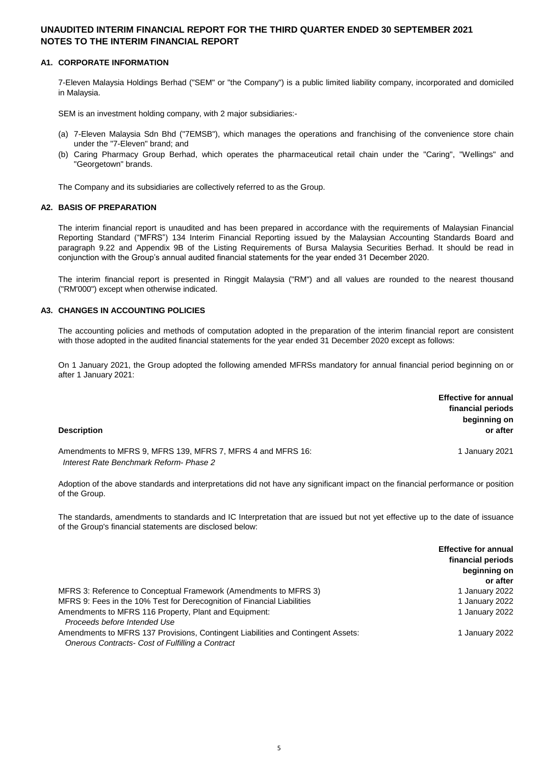#### **A1. CORPORATE INFORMATION**

7-Eleven Malaysia Holdings Berhad ("SEM" or "the Company") is a public limited liability company, incorporated and domiciled in Malaysia.

SEM is an investment holding company, with 2 major subsidiaries:-

- (a) 7-Eleven Malaysia Sdn Bhd ("7EMSB"), which manages the operations and franchising of the convenience store chain under the "7-Eleven" brand; and
- (b) Caring Pharmacy Group Berhad, which operates the pharmaceutical retail chain under the "Caring", "Wellings" and "Georgetown" brands.

The Company and its subsidiaries are collectively referred to as the Group.

#### **A2. BASIS OF PREPARATION**

The interim financial report is unaudited and has been prepared in accordance with the requirements of Malaysian Financial Reporting Standard ("MFRS") 134 Interim Financial Reporting issued by the Malaysian Accounting Standards Board and paragraph 9.22 and Appendix 9B of the Listing Requirements of Bursa Malaysia Securities Berhad. It should be read in conjunction with the Group's annual audited financial statements for the year ended 31 December 2020.

The interim financial report is presented in Ringgit Malaysia ("RM") and all values are rounded to the nearest thousand ("RM'000") except when otherwise indicated.

#### **A3. CHANGES IN ACCOUNTING POLICIES**

The accounting policies and methods of computation adopted in the preparation of the interim financial report are consistent with those adopted in the audited financial statements for the year ended 31 December 2020 except as follows:

On 1 January 2021, the Group adopted the following amended MFRSs mandatory for annual financial period beginning on or after 1 January 2021:

| <b>Description</b>                                                                                     | <b>Effective for annual</b><br>financial periods<br>beginning on<br>or after |
|--------------------------------------------------------------------------------------------------------|------------------------------------------------------------------------------|
| Amendments to MFRS 9, MFRS 139, MFRS 7, MFRS 4 and MFRS 16:<br>Interest Rate Benchmark Reform- Phase 2 | 1 January 2021                                                               |

Adoption of the above standards and interpretations did not have any significant impact on the financial performance or position of the Group.

The standards, amendments to standards and IC Interpretation that are issued but not yet effective up to the date of issuance of the Group's financial statements are disclosed below:

|                                                                                                                                      | <b>Effective for annual</b><br>financial periods<br>beginning on |
|--------------------------------------------------------------------------------------------------------------------------------------|------------------------------------------------------------------|
|                                                                                                                                      | or after                                                         |
| MFRS 3: Reference to Conceptual Framework (Amendments to MFRS 3)                                                                     | 1 January 2022                                                   |
| MFRS 9: Fees in the 10% Test for Derecognition of Financial Liabilities                                                              | 1 January 2022                                                   |
| Amendments to MFRS 116 Property, Plant and Equipment:<br>Proceeds before Intended Use                                                | 1 January 2022                                                   |
| Amendments to MFRS 137 Provisions, Contingent Liabilities and Contingent Assets:<br>Onerous Contracts- Cost of Fulfilling a Contract | 1 January 2022                                                   |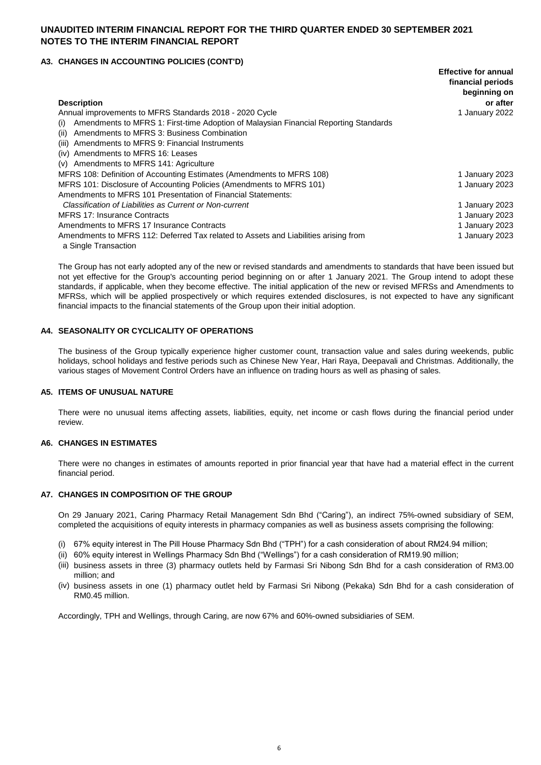#### **A3. CHANGES IN ACCOUNTING POLICIES (CONT'D)**

|                                                                                             | <b>Effective for annual</b><br>financial periods |
|---------------------------------------------------------------------------------------------|--------------------------------------------------|
| <b>Description</b>                                                                          | beginning on<br>or after                         |
| Annual improvements to MFRS Standards 2018 - 2020 Cycle                                     | 1 January 2022                                   |
| Amendments to MFRS 1: First-time Adoption of Malaysian Financial Reporting Standards<br>(i) |                                                  |
| Amendments to MFRS 3: Business Combination<br>(ii)                                          |                                                  |
| Amendments to MFRS 9: Financial Instruments<br>(iii)                                        |                                                  |
| Amendments to MFRS 16: Leases<br>(iv)                                                       |                                                  |
| Amendments to MFRS 141: Agriculture<br>(v)                                                  |                                                  |
| MFRS 108: Definition of Accounting Estimates (Amendments to MFRS 108)                       | 1 January 2023                                   |
| MFRS 101: Disclosure of Accounting Policies (Amendments to MFRS 101)                        | 1 January 2023                                   |
| Amendments to MFRS 101 Presentation of Financial Statements:                                |                                                  |
| Classification of Liabilities as Current or Non-current                                     | 1 January 2023                                   |
| <b>MFRS 17: Insurance Contracts</b>                                                         | 1 January 2023                                   |
| Amendments to MFRS 17 Insurance Contracts                                                   | 1 January 2023                                   |
| Amendments to MFRS 112: Deferred Tax related to Assets and Liabilities arising from         | 1 January 2023                                   |
| a Single Transaction                                                                        |                                                  |

The Group has not early adopted any of the new or revised standards and amendments to standards that have been issued but not yet effective for the Group's accounting period beginning on or after 1 January 2021. The Group intend to adopt these standards, if applicable, when they become effective. The initial application of the new or revised MFRSs and Amendments to MFRSs, which will be applied prospectively or which requires extended disclosures, is not expected to have any significant financial impacts to the financial statements of the Group upon their initial adoption.

#### **A4. SEASONALITY OR CYCLICALITY OF OPERATIONS**

The business of the Group typically experience higher customer count, transaction value and sales during weekends, public holidays, school holidays and festive periods such as Chinese New Year, Hari Raya, Deepavali and Christmas. Additionally, the various stages of Movement Control Orders have an influence on trading hours as well as phasing of sales.

#### **A5. ITEMS OF UNUSUAL NATURE**

There were no unusual items affecting assets, liabilities, equity, net income or cash flows during the financial period under review.

#### **A6. CHANGES IN ESTIMATES**

There were no changes in estimates of amounts reported in prior financial year that have had a material effect in the current financial period.

#### **A7. CHANGES IN COMPOSITION OF THE GROUP**

On 29 January 2021, Caring Pharmacy Retail Management Sdn Bhd ("Caring"), an indirect 75%-owned subsidiary of SEM, completed the acquisitions of equity interests in pharmacy companies as well as business assets comprising the following:

- (i) 67% equity interest in The Pill House Pharmacy Sdn Bhd ("TPH") for a cash consideration of about RM24.94 million;
- (ii) 60% equity interest in Wellings Pharmacy Sdn Bhd ("Wellings") for a cash consideration of RM19.90 million;
- (iii) business assets in three (3) pharmacy outlets held by Farmasi Sri Nibong Sdn Bhd for a cash consideration of RM3.00 million; and
- (iv) business assets in one (1) pharmacy outlet held by Farmasi Sri Nibong (Pekaka) Sdn Bhd for a cash consideration of RM0.45 million.

Accordingly, TPH and Wellings, through Caring, are now 67% and 60%-owned subsidiaries of SEM.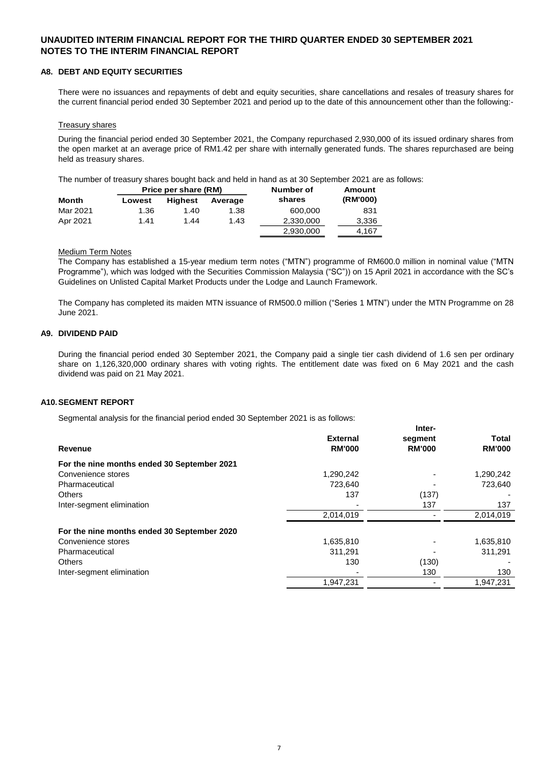#### **A8. DEBT AND EQUITY SECURITIES**

There were no issuances and repayments of debt and equity securities, share cancellations and resales of treasury shares for the current financial period ended 30 September 2021 and period up to the date of this announcement other than the following:-

#### Treasury shares

During the financial period ended 30 September 2021, the Company repurchased 2,930,000 of its issued ordinary shares from the open market at an average price of RM1.42 per share with internally generated funds. The shares repurchased are being held as treasury shares.

The number of treasury shares bought back and held in hand as at 30 September 2021 are as follows:

|          | Price per share (RM) |                | Number of | Amount    |          |
|----------|----------------------|----------------|-----------|-----------|----------|
| Month    | Lowest               | <b>Highest</b> | Average   | shares    | (RM'000) |
| Mar 2021 | 1.36                 | 1.40           | 1.38      | 600.000   | 831      |
| Apr 2021 | 1.41                 | 1.44           | 1.43      | 2,330,000 | 3,336    |
|          |                      |                |           | 2,930,000 | 4.167    |

#### **Medium Term Notes**

The Company has established a 15-year medium term notes ("MTN") programme of RM600.0 million in nominal value ("MTN Programme"), which was lodged with the Securities Commission Malaysia ("SC")) on 15 April 2021 in accordance with the SC's Guidelines on Unlisted Capital Market Products under the Lodge and Launch Framework.

The Company has completed its maiden MTN issuance of RM500.0 million ("Series 1 MTN") under the MTN Programme on 28 June 2021.

#### **A9. DIVIDEND PAID**

During the financial period ended 30 September 2021, the Company paid a single tier cash dividend of 1.6 sen per ordinary share on 1,126,320,000 ordinary shares with voting rights. The entitlement date was fixed on 6 May 2021 and the cash dividend was paid on 21 May 2021.

**Inter-**

#### **A10.SEGMENT REPORT**

Segmental analysis for the financial period ended 30 September 2021 is as follows:

|                                             |                 | inter-        |               |
|---------------------------------------------|-----------------|---------------|---------------|
|                                             | <b>External</b> | segment       | <b>Total</b>  |
| Revenue                                     | <b>RM'000</b>   | <b>RM'000</b> | <b>RM'000</b> |
| For the nine months ended 30 September 2021 |                 |               |               |
| Convenience stores                          | 1,290,242       |               | 1,290,242     |
| Pharmaceutical                              | 723,640         |               | 723,640       |
| <b>Others</b>                               | 137             | (137)         |               |
| Inter-segment elimination                   |                 | 137           | 137           |
|                                             | 2,014,019       |               | 2,014,019     |
| For the nine months ended 30 September 2020 |                 |               |               |
| Convenience stores                          | 1,635,810       |               | 1,635,810     |
| Pharmaceutical                              | 311.291         |               | 311,291       |
| <b>Others</b>                               | 130             | (130)         |               |
| Inter-segment elimination                   |                 | 130           | 130           |
|                                             | 1,947,231       |               | 1,947,231     |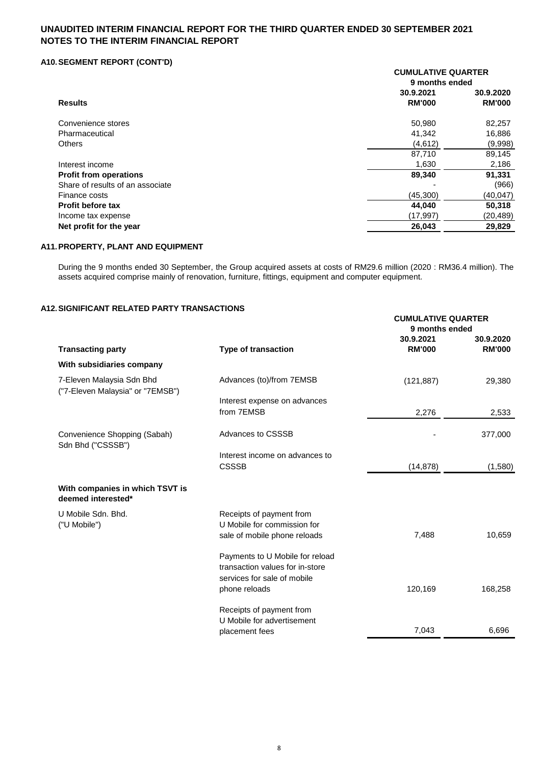### **A10.SEGMENT REPORT (CONT'D)**

|                                  | <b>CUMULATIVE QUARTER</b><br>9 months ended |                            |  |
|----------------------------------|---------------------------------------------|----------------------------|--|
| <b>Results</b>                   | 30.9.2021<br><b>RM'000</b>                  | 30.9.2020<br><b>RM'000</b> |  |
| Convenience stores               | 50,980                                      | 82,257                     |  |
| Pharmaceutical                   | 41,342                                      | 16,886                     |  |
| <b>Others</b>                    | (4,612)                                     | (9,998)                    |  |
|                                  | 87,710                                      | 89,145                     |  |
| Interest income                  | 1,630                                       | 2,186                      |  |
| <b>Profit from operations</b>    | 89,340                                      | 91,331                     |  |
| Share of results of an associate |                                             | (966)                      |  |
| Finance costs                    | (45, 300)                                   | (40, 047)                  |  |
| Profit before tax                | 44,040                                      | 50,318                     |  |
| Income tax expense               | (17,997)                                    | (20,489)                   |  |
| Net profit for the year          | 26,043                                      | 29,829                     |  |

### **A11.PROPERTY, PLANT AND EQUIPMENT**

During the 9 months ended 30 September, the Group acquired assets at costs of RM29.6 million (2020 : RM36.4 million). The assets acquired comprise mainly of renovation, furniture, fittings, equipment and computer equipment.

### **A12.SIGNIFICANT RELATED PARTY TRANSACTIONS**

|                                                               |                                                                                                   | <b>CUMULATIVE QUARTER</b><br>9 months ended |                            |  |
|---------------------------------------------------------------|---------------------------------------------------------------------------------------------------|---------------------------------------------|----------------------------|--|
| <b>Transacting party</b>                                      | <b>Type of transaction</b>                                                                        | 30.9.2021<br><b>RM'000</b>                  | 30.9.2020<br><b>RM'000</b> |  |
| With subsidiaries company                                     |                                                                                                   |                                             |                            |  |
| 7-Eleven Malaysia Sdn Bhd<br>("7-Eleven Malaysia" or "7EMSB") | Advances (to)/from 7EMSB                                                                          | (121, 887)                                  | 29,380                     |  |
|                                                               | Interest expense on advances<br>from 7EMSB                                                        | 2,276                                       | 2,533                      |  |
| Convenience Shopping (Sabah)<br>Sdn Bhd ("CSSSB")             | Advances to CSSSB                                                                                 |                                             | 377,000                    |  |
|                                                               | Interest income on advances to<br><b>CSSSB</b>                                                    | (14, 878)                                   | (1,580)                    |  |
| With companies in which TSVT is<br>deemed interested*         |                                                                                                   |                                             |                            |  |
| U Mobile Sdn. Bhd.<br>("U Mobile")                            | Receipts of payment from<br>U Mobile for commission for<br>sale of mobile phone reloads           | 7,488                                       | 10,659                     |  |
|                                                               | Payments to U Mobile for reload<br>transaction values for in-store<br>services for sale of mobile |                                             |                            |  |
|                                                               | phone reloads<br>Receipts of payment from<br>U Mobile for advertisement                           | 120,169                                     | 168,258                    |  |
|                                                               | placement fees                                                                                    | 7,043                                       | 6,696                      |  |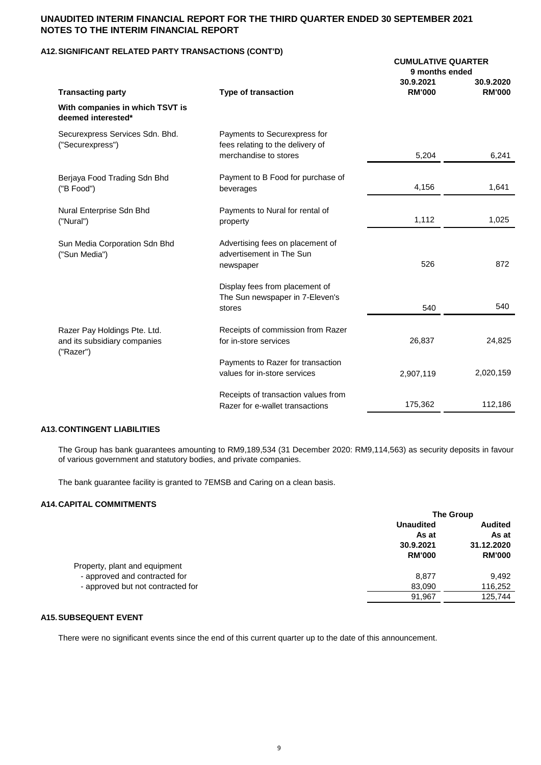### **A12.SIGNIFICANT RELATED PARTY TRANSACTIONS (CONT'D)**

|                                                                           |                                                                                           | <b>CUMULATIVE QUARTER</b><br>9 months ended |                            |  |
|---------------------------------------------------------------------------|-------------------------------------------------------------------------------------------|---------------------------------------------|----------------------------|--|
| <b>Transacting party</b>                                                  | <b>Type of transaction</b>                                                                | 30.9.2021<br><b>RM'000</b>                  | 30.9.2020<br><b>RM'000</b> |  |
| With companies in which TSVT is<br>deemed interested*                     |                                                                                           |                                             |                            |  |
| Securexpress Services Sdn. Bhd.<br>("Securexpress")                       | Payments to Securexpress for<br>fees relating to the delivery of<br>merchandise to stores | 5,204                                       | 6,241                      |  |
|                                                                           |                                                                                           |                                             |                            |  |
| Berjaya Food Trading Sdn Bhd<br>("B Food")                                | Payment to B Food for purchase of<br>beverages                                            | 4,156                                       | 1,641                      |  |
| Nural Enterprise Sdn Bhd<br>("Nural")                                     | Payments to Nural for rental of<br>property                                               | 1,112                                       | 1,025                      |  |
| Sun Media Corporation Sdn Bhd<br>("Sun Media")                            | Advertising fees on placement of<br>advertisement in The Sun<br>newspaper                 | 526                                         | 872                        |  |
|                                                                           | Display fees from placement of<br>The Sun newspaper in 7-Eleven's<br>stores               | 540                                         | 540                        |  |
| Razer Pay Holdings Pte. Ltd.<br>and its subsidiary companies<br>("Razer") | Receipts of commission from Razer<br>for in-store services                                | 26,837                                      | 24,825                     |  |
|                                                                           | Payments to Razer for transaction<br>values for in-store services                         | 2,907,119                                   | 2,020,159                  |  |
|                                                                           | Receipts of transaction values from<br>Razer for e-wallet transactions                    | 175,362                                     | 112,186                    |  |

### **A13.CONTINGENT LIABILITIES**

The Group has bank guarantees amounting to RM9,189,534 (31 December 2020: RM9,114,563) as security deposits in favour of various government and statutory bodies, and private companies.

The bank guarantee facility is granted to 7EMSB and Caring on a clean basis.

#### **A14.CAPITAL COMMITMENTS**

|                                   | <b>The Group</b> |                         |  |
|-----------------------------------|------------------|-------------------------|--|
|                                   | <b>Unaudited</b> | <b>Audited</b><br>As at |  |
|                                   | As at            |                         |  |
|                                   | 30.9.2021        | 31.12.2020              |  |
|                                   | <b>RM'000</b>    | <b>RM'000</b>           |  |
| Property, plant and equipment     |                  |                         |  |
| - approved and contracted for     | 8.877            | 9,492                   |  |
| - approved but not contracted for | 83,090           | 116,252                 |  |
|                                   | 91,967           | 125,744                 |  |

#### **A15.SUBSEQUENT EVENT**

There were no significant events since the end of this current quarter up to the date of this announcement.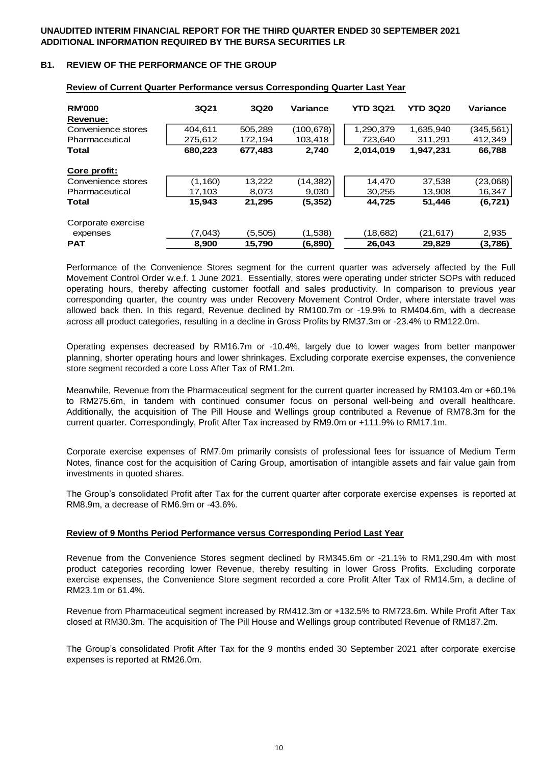### **B1. REVIEW OF THE PERFORMANCE OF THE GROUP**

| <b>RM'000</b>      | 3Q21     | 3Q20    | Variance  | <b>YTD 3Q21</b> | <b>YTD 3Q20</b> | Variance   |
|--------------------|----------|---------|-----------|-----------------|-----------------|------------|
| Revenue:           |          |         |           |                 |                 |            |
| Convenience stores | 404,611  | 505,289 | (100,678) | 1,290,379       | 1,635,940       | (345, 561) |
| Pharmaceutical     | 275.612  | 172.194 | 103.418   | 723,640         | 311.291         | 412,349    |
| <b>Total</b>       | 680,223  | 677,483 | 2,740     | 2,014,019       | 1,947,231       | 66,788     |
| Core profit:       |          |         |           |                 |                 |            |
| Convenience stores | (1, 160) | 13,222  | (14, 382) | 14.470          | 37,538          | (23,068)   |
| Pharmaceutical     | 17,103   | 8,073   | 9,030     | 30,255          | 13,908          | 16,347     |
| <b>Total</b>       | 15.943   | 21,295  | (5,352)   | 44,725          | 51,446          | (6,721)    |
| Corporate exercise |          |         |           |                 |                 |            |
| expenses           | (7.043)  | (5,505) | (1,538)   | (18,682)        | (21, 617)       | 2,935      |
| <b>PAT</b>         | 8.900    | 15,790  | (6,890)   | 26,043          | 29.829          | (3,786)    |

### **Review of Current Quarter Performance versus Corresponding Quarter Last Year**

Performance of the Convenience Stores segment for the current quarter was adversely affected by the Full Movement Control Order w.e.f. 1 June 2021. Essentially, stores were operating under stricter SOPs with reduced operating hours, thereby affecting customer footfall and sales productivity. In comparison to previous year corresponding quarter, the country was under Recovery Movement Control Order, where interstate travel was allowed back then. In this regard, Revenue declined by RM100.7m or -19.9% to RM404.6m, with a decrease across all product categories, resulting in a decline in Gross Profits by RM37.3m or -23.4% to RM122.0m.

Operating expenses decreased by RM16.7m or -10.4%, largely due to lower wages from better manpower planning, shorter operating hours and lower shrinkages. Excluding corporate exercise expenses, the convenience store segment recorded a core Loss After Tax of RM1.2m.

Meanwhile, Revenue from the Pharmaceutical segment for the current quarter increased by RM103.4m or +60.1% to RM275.6m, in tandem with continued consumer focus on personal well-being and overall healthcare. Additionally, the acquisition of The Pill House and Wellings group contributed a Revenue of RM78.3m for the current quarter. Correspondingly, Profit After Tax increased by RM9.0m or +111.9% to RM17.1m.

Corporate exercise expenses of RM7.0m primarily consists of professional fees for issuance of Medium Term Notes, finance cost for the acquisition of Caring Group, amortisation of intangible assets and fair value gain from investments in quoted shares.

The Group's consolidated Profit after Tax for the current quarter after corporate exercise expenses is reported at RM8.9m, a decrease of RM6.9m or -43.6%.

#### **Review of 9 Months Period Performance versus Corresponding Period Last Year**

Revenue from the Convenience Stores segment declined by RM345.6m or -21.1% to RM1,290.4m with most product categories recording lower Revenue, thereby resulting in lower Gross Profits. Excluding corporate exercise expenses, the Convenience Store segment recorded a core Profit After Tax of RM14.5m, a decline of RM23.1m or 61.4%.

Revenue from Pharmaceutical segment increased by RM412.3m or +132.5% to RM723.6m. While Profit After Tax closed at RM30.3m. The acquisition of The Pill House and Wellings group contributed Revenue of RM187.2m.

The Group's consolidated Profit After Tax for the 9 months ended 30 September 2021 after corporate exercise expenses is reported at RM26.0m.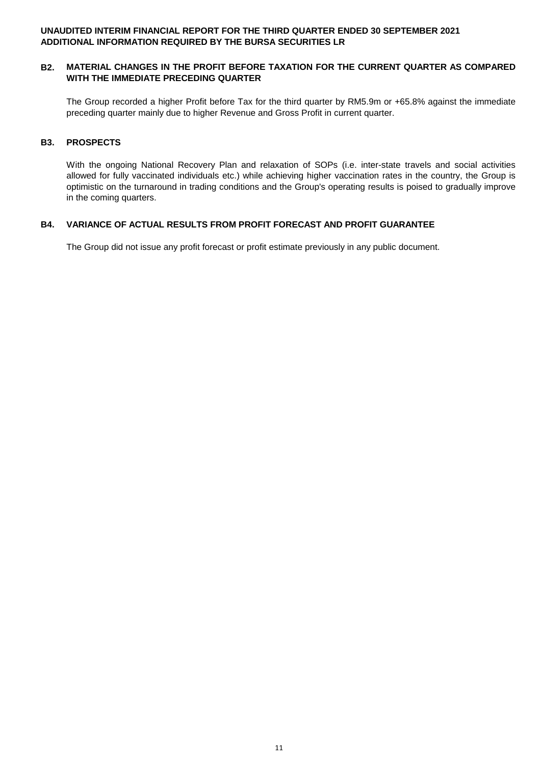#### **B2. MATERIAL CHANGES IN THE PROFIT BEFORE TAXATION FOR THE CURRENT QUARTER AS COMPARED WITH THE IMMEDIATE PRECEDING QUARTER**

The Group recorded a higher Profit before Tax for the third quarter by RM5.9m or +65.8% against the immediate preceding quarter mainly due to higher Revenue and Gross Profit in current quarter.

### **B3. PROSPECTS**

With the ongoing National Recovery Plan and relaxation of SOPs (i.e. inter-state travels and social activities allowed for fully vaccinated individuals etc.) while achieving higher vaccination rates in the country, the Group is optimistic on the turnaround in trading conditions and the Group's operating results is poised to gradually improve in the coming quarters.

### **B4. VARIANCE OF ACTUAL RESULTS FROM PROFIT FORECAST AND PROFIT GUARANTEE**

The Group did not issue any profit forecast or profit estimate previously in any public document.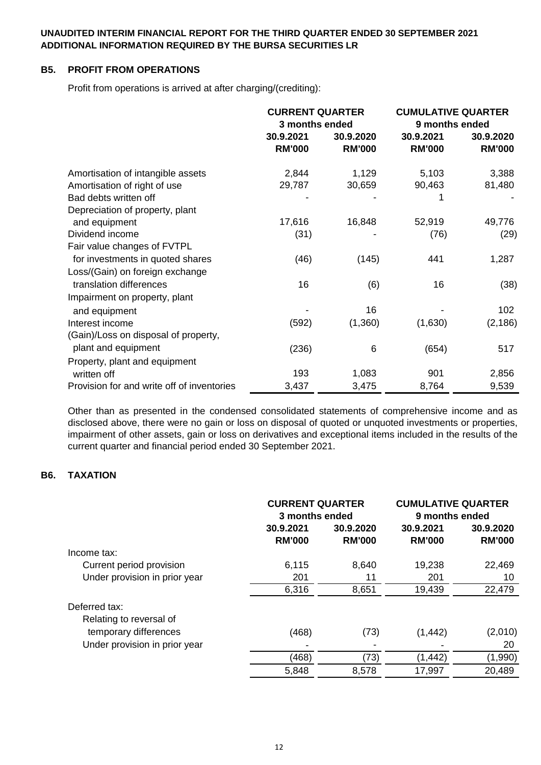# **B5. PROFIT FROM OPERATIONS**

Profit from operations is arrived at after charging/(crediting):

|                                            | <b>CURRENT QUARTER</b><br>3 months ended |                            | <b>CUMULATIVE QUARTER</b><br>9 months ended |                            |
|--------------------------------------------|------------------------------------------|----------------------------|---------------------------------------------|----------------------------|
|                                            | 30.9.2021<br><b>RM'000</b>               | 30.9.2020<br><b>RM'000</b> | 30.9.2021<br><b>RM'000</b>                  | 30.9.2020<br><b>RM'000</b> |
| Amortisation of intangible assets          | 2,844                                    | 1,129                      | 5,103                                       | 3,388                      |
| Amortisation of right of use               | 29,787                                   | 30,659                     | 90,463                                      | 81,480                     |
| Bad debts written off                      |                                          |                            | 1                                           |                            |
| Depreciation of property, plant            |                                          |                            |                                             |                            |
| and equipment                              | 17,616                                   | 16,848                     | 52,919                                      | 49,776                     |
| Dividend income                            | (31)                                     |                            | (76)                                        | (29)                       |
| Fair value changes of FVTPL                |                                          |                            |                                             |                            |
| for investments in quoted shares           | (46)                                     | (145)                      | 441                                         | 1,287                      |
| Loss/(Gain) on foreign exchange            |                                          |                            |                                             |                            |
| translation differences                    | 16                                       | (6)                        | 16                                          | (38)                       |
| Impairment on property, plant              |                                          |                            |                                             |                            |
| and equipment                              |                                          | 16                         |                                             | 102                        |
| Interest income                            | (592)                                    | (1,360)                    | (1,630)                                     | (2, 186)                   |
| (Gain)/Loss on disposal of property,       |                                          |                            |                                             |                            |
| plant and equipment                        | (236)                                    | 6                          | (654)                                       | 517                        |
| Property, plant and equipment              |                                          |                            |                                             |                            |
| written off                                | 193                                      | 1,083                      | 901                                         | 2,856                      |
| Provision for and write off of inventories | 3,437                                    | 3,475                      | 8,764                                       | 9,539                      |

Other than as presented in the condensed consolidated statements of comprehensive income and as disclosed above, there were no gain or loss on disposal of quoted or unquoted investments or properties, impairment of other assets, gain or loss on derivatives and exceptional items included in the results of the current quarter and financial period ended 30 September 2021.

# **B6. TAXATION**

| <b>CURRENT QUARTER</b><br>3 months ended |                            | <b>CUMULATIVE QUARTER</b><br>9 months ended |                            |
|------------------------------------------|----------------------------|---------------------------------------------|----------------------------|
| 30.9.2021<br><b>RM'000</b>               | 30.9.2020<br><b>RM'000</b> | 30.9.2021<br><b>RM'000</b>                  | 30.9.2020<br><b>RM'000</b> |
|                                          |                            |                                             |                            |
| 6,115                                    | 8,640                      | 19,238                                      | 22,469                     |
| 201                                      | 11                         | 201                                         | 10                         |
| 6,316                                    | 8,651                      | 19,439                                      | 22,479                     |
|                                          |                            |                                             |                            |
|                                          |                            |                                             |                            |
| (468)                                    | (73)                       | (1, 442)                                    | (2,010)                    |
|                                          |                            |                                             | 20                         |
| (468)                                    | (73)                       | (1, 442)                                    | (1,990)                    |
| 5,848                                    | 8,578                      | 17,997                                      | 20,489                     |
|                                          |                            |                                             |                            |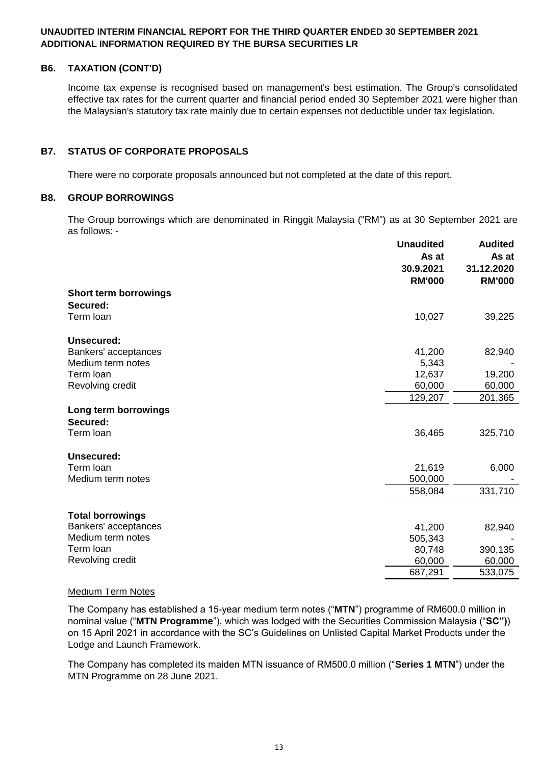# **B6. TAXATION (CONT'D)**

Income tax expense is recognised based on management's best estimation. The Group's consolidated effective tax rates for the current quarter and financial period ended 30 September 2021 were higher than the Malaysian's statutory tax rate mainly due to certain expenses not deductible under tax legislation.

# **B7. STATUS OF CORPORATE PROPOSALS**

There were no corporate proposals announced but not completed at the date of this report.

## **B8. GROUP BORROWINGS**

The Group borrowings which are denominated in Ringgit Malaysia ("RM") as at 30 September 2021 are as follows: -

|                                  | <b>Unaudited</b><br>As at<br>30.9.2021<br><b>RM'000</b> | <b>Audited</b><br>As at<br>31.12.2020<br><b>RM'000</b> |
|----------------------------------|---------------------------------------------------------|--------------------------------------------------------|
| <b>Short term borrowings</b>     |                                                         |                                                        |
| Secured:                         |                                                         |                                                        |
| Term loan                        | 10,027                                                  | 39,225                                                 |
| <b>Unsecured:</b>                |                                                         |                                                        |
| Bankers' acceptances             | 41,200                                                  | 82,940                                                 |
| Medium term notes                | 5,343                                                   |                                                        |
| Term loan                        | 12,637                                                  | 19,200                                                 |
| Revolving credit                 | 60,000                                                  | 60,000                                                 |
|                                  | 129,207                                                 | 201,365                                                |
| Long term borrowings<br>Secured: |                                                         |                                                        |
| Term loan                        | 36,465                                                  | 325,710                                                |
| <b>Unsecured:</b>                |                                                         |                                                        |
| Term loan                        | 21,619                                                  | 6,000                                                  |
| Medium term notes                | 500,000                                                 |                                                        |
|                                  | 558,084                                                 | 331,710                                                |
| <b>Total borrowings</b>          |                                                         |                                                        |
| Bankers' acceptances             | 41,200                                                  | 82,940                                                 |
| Medium term notes                | 505,343                                                 |                                                        |
| Term loan                        | 80,748                                                  | 390,135                                                |
| Revolving credit                 | 60,000                                                  | 60,000                                                 |
|                                  | 687,291                                                 | 533,075                                                |

#### Medium Term Notes

The Company has established a 15-year medium term notes ("**MTN**") programme of RM600.0 million in nominal value ("**MTN Programme**"), which was lodged with the Securities Commission Malaysia ("**SC")**) on 15 April 2021 in accordance with the SC's Guidelines on Unlisted Capital Market Products under the Lodge and Launch Framework.

The Company has completed its maiden MTN issuance of RM500.0 million ("**Series 1 MTN**") under the MTN Programme on 28 June 2021.